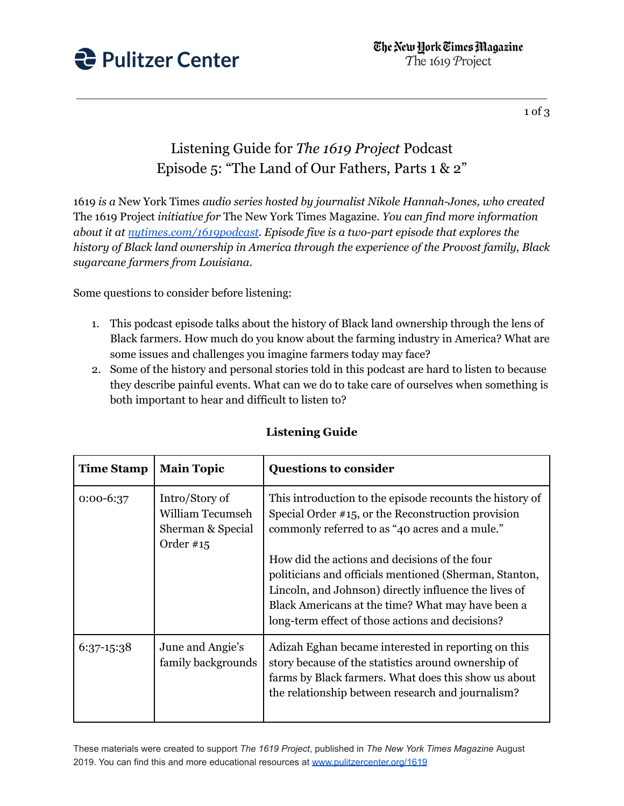

## 1 of 3

## Listening Guide for *The 1619 Project* Podcast Episode 5: "The Land of Our Fathers, Parts 1 & 2"

1619 *is a* New York Times *audio series hosted by journalist Nikole Hannah-Jones, who created* The 1619 Project *initiative for* The New York Times Magazine*. You can find more information about it at [nytimes.com/1619podcast.](https://www.nytimes.com/2020/01/23/podcasts/1619-podcast.html) Episode five is a two-part episode that explores the history of Black land ownership in America through the experience of the Provost family, Black sugarcane farmers from Louisiana.*

Some questions to consider before listening:

- 1. This podcast episode talks about the history of Black land ownership through the lens of Black farmers. How much do you know about the farming industry in America? What are some issues and challenges you imagine farmers today may face?
- 2. Some of the history and personal stories told in this podcast are hard to listen to because they describe painful events. What can we do to take care of ourselves when something is both important to hear and difficult to listen to?

| <b>Time Stamp</b> | <b>Main Topic</b>                                                      | <b>Questions to consider</b>                                                                                                                                                                                                                                              |
|-------------------|------------------------------------------------------------------------|---------------------------------------------------------------------------------------------------------------------------------------------------------------------------------------------------------------------------------------------------------------------------|
| $0:00-6:37$       | Intro/Story of<br>William Tecumseh<br>Sherman & Special<br>Order $#15$ | This introduction to the episode recounts the history of<br>Special Order $#15$ , or the Reconstruction provision<br>commonly referred to as "40 acres and a mule."                                                                                                       |
|                   |                                                                        | How did the actions and decisions of the four<br>politicians and officials mentioned (Sherman, Stanton,<br>Lincoln, and Johnson) directly influence the lives of<br>Black Americans at the time? What may have been a<br>long-term effect of those actions and decisions? |
| 6:37-15:38        | June and Angie's<br>family backgrounds                                 | Adizah Eghan became interested in reporting on this<br>story because of the statistics around ownership of<br>farms by Black farmers. What does this show us about<br>the relationship between research and journalism?                                                   |

## **Listening Guide**

These materials were created to support *The 1619 Project*, published in *The New York Times Magazine* August 2019. You can find this and more educational resources at [www.pulitzercenter.org/1619](http://www.pulitzercenter.org/1619)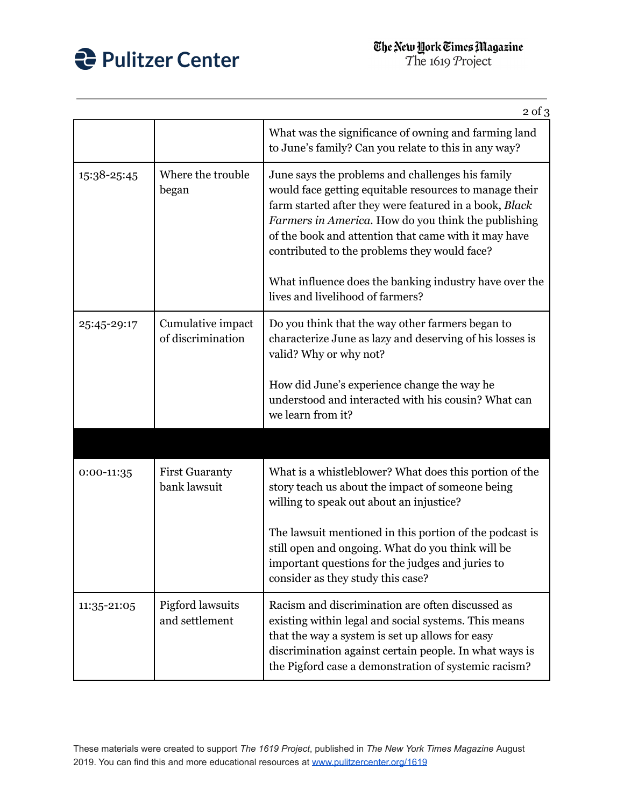

|             |                                        | $2$ of $3$                                                                                                                                                                                                                                                                                                                          |
|-------------|----------------------------------------|-------------------------------------------------------------------------------------------------------------------------------------------------------------------------------------------------------------------------------------------------------------------------------------------------------------------------------------|
|             |                                        | What was the significance of owning and farming land<br>to June's family? Can you relate to this in any way?                                                                                                                                                                                                                        |
| 15:38-25:45 | Where the trouble<br>began             | June says the problems and challenges his family<br>would face getting equitable resources to manage their<br>farm started after they were featured in a book, Black<br>Farmers in America. How do you think the publishing<br>of the book and attention that came with it may have<br>contributed to the problems they would face? |
|             |                                        | What influence does the banking industry have over the<br>lives and livelihood of farmers?                                                                                                                                                                                                                                          |
| 25:45-29:17 | Cumulative impact<br>of discrimination | Do you think that the way other farmers began to<br>characterize June as lazy and deserving of his losses is<br>valid? Why or why not?                                                                                                                                                                                              |
|             |                                        | How did June's experience change the way he<br>understood and interacted with his cousin? What can<br>we learn from it?                                                                                                                                                                                                             |
|             |                                        |                                                                                                                                                                                                                                                                                                                                     |
| 0:00-11:35  | <b>First Guaranty</b><br>bank lawsuit  | What is a whistleblower? What does this portion of the<br>story teach us about the impact of someone being<br>willing to speak out about an injustice?                                                                                                                                                                              |
|             |                                        | The lawsuit mentioned in this portion of the podcast is<br>still open and ongoing. What do you think will be<br>important questions for the judges and juries to<br>consider as they study this case?                                                                                                                               |
| 11:35-21:05 | Pigford lawsuits<br>and settlement     | Racism and discrimination are often discussed as<br>existing within legal and social systems. This means<br>that the way a system is set up allows for easy<br>discrimination against certain people. In what ways is<br>the Pigford case a demonstration of systemic racism?                                                       |